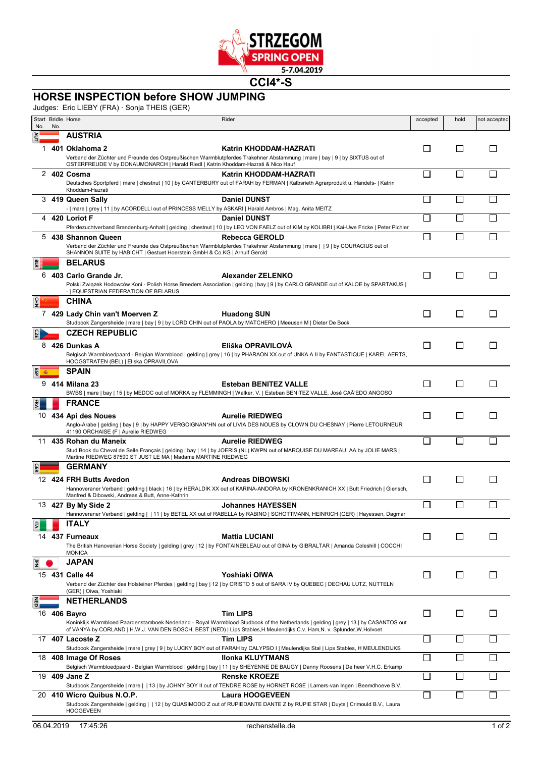

**CCI4\*-S**

## **HORSE INSPECTION before SHOW JUMPING**

Judges: Eric LIEBY (FRA) · Sonja THEIS (GER)

| No.         | No. | Start Bridle Horse<br>Rider                                                                                                                                                                                                                                 |                                                                                                                                                                    | accepted                 | hold                     | not accepted |
|-------------|-----|-------------------------------------------------------------------------------------------------------------------------------------------------------------------------------------------------------------------------------------------------------------|--------------------------------------------------------------------------------------------------------------------------------------------------------------------|--------------------------|--------------------------|--------------|
|             |     | <b>AUSTRIA</b>                                                                                                                                                                                                                                              |                                                                                                                                                                    |                          |                          |              |
|             |     | 1 401 Oklahoma 2<br>Verband der Züchter und Freunde des Ostpreußischen Warmblutpferdes Trakehner Abstammung   mare   bay   9   by SIXTUS out of<br>OSTERFREUDE V by DONAUMONARCH   Harald Riedl   Katrin Khoddam-Hazrati & Nico Hauf                        | Katrin KHODDAM-HAZRATI                                                                                                                                             | $\Box$                   | $\Box$                   | $\mathsf{L}$ |
| 2           |     | 402 Cosma<br>Deutsches Sportpferd   mare   chestnut   10   by CANTERBURY out of FARAH by FERMAN   Kalbsrieth Agrarprodukt u. Handels-   Katrin<br>Khoddam-Hazrati                                                                                           | Katrin KHODDAM-HAZRATI                                                                                                                                             | $\overline{\phantom{a}}$ | $\overline{\phantom{a}}$ |              |
| 3           |     | 419 Queen Sally<br>-   mare   grey   11   by ACORDELLI out of PRINCESS MELLY by ASKARI   Harald Ambros   Mag. Anita MEITZ                                                                                                                                   | <b>Daniel DUNST</b>                                                                                                                                                | $\Box$                   | $\Box$                   |              |
| 4           |     | 420 Loriot F                                                                                                                                                                                                                                                | <b>Daniel DUNST</b>                                                                                                                                                | Π                        | $\Box$                   |              |
|             |     | 5 438 Shannon Queen<br>Verband der Züchter und Freunde des Ostpreußischen Warmblutpferdes Trakehner Abstammung   mare     9   by COURACIUS out of<br>SHANNON SUITE by HABICHT   Gestuet Hoerstein GmbH & Co.KG   Arnulf Gerold                              | Pferdezuchtverband Brandenburg-Anhalt   gelding   chestnut   10   by LEO VON FAELZ out of KIM by KOLIBRI   Kai-Uwe Fricke   Peter Pichler<br><b>Rebecca GEROLD</b> | П                        |                          |              |
| 6           |     | <b>BELARUS</b><br>403 Carlo Grande Jr.<br>-   EQUESTRIAN FEDERATION OF BELARUS                                                                                                                                                                              | <b>Alexander ZELENKO</b><br>Polski Związek Hodowców Koni - Polish Horse Breeders Association   gelding   bay   9   by CARLO GRANDE out of KALOE by SPARTAKUS       | $\Box$                   | $\Box$                   | П            |
| $rac{1}{2}$ |     | <b>CHINA</b><br>7 429 Lady Chin van't Moerven Z<br>Studbook Zangersheide   mare   bay   9   by LORD CHIN out of PAOLA by MATCHERO   Meeusen M   Dieter De Bock                                                                                              | <b>Huadong SUN</b>                                                                                                                                                 | $\Box$                   | l 1                      | $\mathsf{L}$ |
|             |     | <b>CZECH REPUBLIC</b><br>8 426 Dunkas A<br>HOOGSTRATEN (BEL)   Eliska OPRAVILOVA                                                                                                                                                                            | Eliška OPRAVILOVA<br>Belgisch Warmbloedpaard - Belgian Warmblood   gelding   grey   16   by PHARAON XX out of UNKA A II by FANTASTIQUE   KAREL AERTS,              | □                        | $\Box$                   | П            |
| 9           |     | <b>SPAIN</b><br>414 Milana 23<br>BWBS   mare   bay   15   by MEDOC out of MORKA by FLEMMINGH   Walker, V.   Esteban BENITEZ VALLE, José CAÃ'EDO ANGOSO                                                                                                      | <b>Esteban BENITEZ VALLE</b>                                                                                                                                       | П                        | П                        | $\mathsf{L}$ |
|             |     | <b>FRANCE</b><br>10 434 Api des Noues                                                                                                                                                                                                                       | <b>Aurelie RIEDWEG</b><br>Anglo-Arabe   gelding   bay   9   by HAPPY VERGOIGNAN*HN out of LIVIA DES NOUES by CLOWN DU CHESNAY   Pierre LETOURNEUR                  | □                        | $\Box$                   | П            |
| 11          |     | 41190 ORCHAISE (F   Aurelie RIEDWEG<br>435 Rohan du Maneix<br>Stud Book du Cheval de Selle Français   gelding   bay   14   by JOERIS (NL) KWPN out of MARQUISE DU MAREAU AA by JOLIE MARS  <br>Martine RIEDWEG 87590 ST JUST LE MA   Madame MARTINE RIEDWEG | <b>Aurelie RIEDWEG</b>                                                                                                                                             | П                        | П                        |              |
|             |     | <b>GERMANY</b><br>12 424 FRH Butts Avedon<br>Manfred & Dibowski, Andreas & Butt, Anne-Kathrin                                                                                                                                                               | <b>Andreas DIBOWSKI</b><br>Hannoveraner Verband   gelding   black   16   by HERALDIK XX out of KARINA-ANDORA by KRONENKRANICH XX   Butt Friedrich   Giensch,       | □                        | $\Box$                   | $\mathsf{L}$ |
|             |     | 13 427 By My Side 2                                                                                                                                                                                                                                         | <b>Johannes HAYESSEN</b><br>Hannoveraner Verband   gelding     11   by BETEL XX out of RABELLA by RABINO   SCHOTTMANN, HEINRICH (GER)   Hayessen, Dagmar           | $\Box$                   | $\Box$                   |              |
| 艮           |     | ITALY<br>14 437 Furneaux<br>The British Hanoverian Horse Society   gelding   grey   12   by FONTAINEBLEAU out of GINA by GIBRALTAR   Amanda Coleshill   COCCHI<br><b>MONICA</b>                                                                             | <b>Mattia LUCIANI</b>                                                                                                                                              | $\Box$                   | □                        | □            |
| E           |     | <b>JAPAN</b><br>15 431 Calle 44<br>Verband der Züchter des Holsteiner Pferdes   gelding   bay   12   by CRISTO 5 out of SARA IV by QUEBEC   DECHAU LUTZ, NUTTELN<br>(GER)   Oiwa, Yoshiaki                                                                  | Yoshiaki OIWA                                                                                                                                                      | □                        | ⊔                        | $\Box$       |
|             |     | NETHERLANDS<br>16 406 Bayro<br>of VANYA by CORLAND   H.W.J. VAN DEN BOSCH, BEST (NED)   Lips Stables, H.Meulendijks, C.v. Ham, N. v. Splunder, W.Holvoet                                                                                                    | <b>Tim LIPS</b><br>Koninklijk Warmbloed Paardenstamboek Nederland - Royal Warmblood Studbook of the Netherlands   gelding   grey   13   by CASANTOS out            | $\Box$                   | □                        | $\Box$       |
|             |     | 17 407 Lacoste Z<br>Studbook Zangersheide   mare   grey   9   by LUCKY BOY out of FARAH by CALYPSO I   Meulendijks Stal   Lips Stables, H MEULENDIJKS                                                                                                       | <b>Tim LIPS</b>                                                                                                                                                    | ⊔                        | $\mathcal{L}$            |              |
| 18          |     | 408 Image Of Roses                                                                                                                                                                                                                                          | <b>Ilonka KLUYTMANS</b>                                                                                                                                            | П                        | $\Box$                   |              |
|             |     | 19 409 Jane Z                                                                                                                                                                                                                                               | Belgisch Warmbloedpaard - Belgian Warmblood   gelding   bay   11   by SHEYENNE DE BAUGY   Danny Roosens   De heer V.H.C. Erkamp<br><b>Renske KROEZE</b>            | $\mathcal{L}$            | П                        |              |
|             |     | 20 410 Wicro Quibus N.O.P.<br>Studbook Zangersheide   gelding     12   by QUASIMODO Z out of RUPIEDANTE DANTE Z by RUPIE STAR   Duyts   Crimould B.V., Laura<br><b>HOOGEVEEN</b>                                                                            | Studbook Zangersheide   mare     13   by JOHNY BOY II out of TENDRE ROSE by HORNET ROSE   Lamers-van Ingen   Beemdhoeve B.V.<br><b>Laura HOOGEVEEN</b>             | П                        |                          |              |